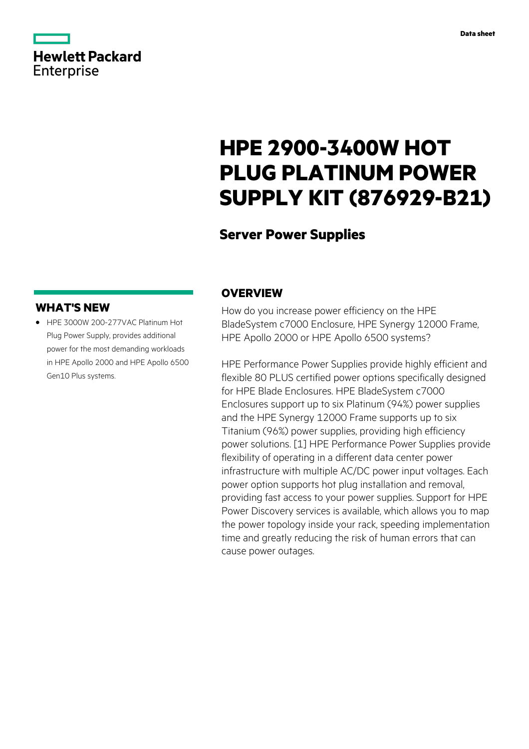|                   | <b>Hewlett Packard</b> |
|-------------------|------------------------|
| <b>Enterprise</b> |                        |

# **HPE 2900-3400W HOT PLUG PLATINUM POWER SUPPLY KIT (876929-B21)**

# **Server Power Supplies**

### **WHAT'S NEW**

**·** HPE 3000W 200-277VAC Platinum Hot Plug Power Supply, provides additional power for the most demanding workloads in HPE Apollo 2000 and HPE Apollo 6500 Gen10 Plus systems.

# **OVERVIEW**

How do you increase power efficiency on the HPE BladeSystem c7000 Enclosure, HPE Synergy 12000 Frame, HPE Apollo 2000 or HPE Apollo 6500 systems?

HPE Performance Power Supplies provide highly efficient and flexible 80 PLUS certified power options specifically designed for HPE Blade Enclosures. HPE BladeSystem c7000 Enclosures support up to six Platinum (94%) power supplies and the HPE Synergy 12000 Frame supports up to six Titanium (96%) power supplies, providing high efficiency power solutions. [1] HPE Performance Power Supplies provide flexibility of operating in a different data center power infrastructure with multiple AC/DC power input voltages. Each power option supports hot plug installation and removal, providing fast access to your power supplies. Support for HPE Power Discovery services is available, which allows you to map the power topology inside your rack, speeding implementation time and greatly reducing the risk of human errors that can cause power outages.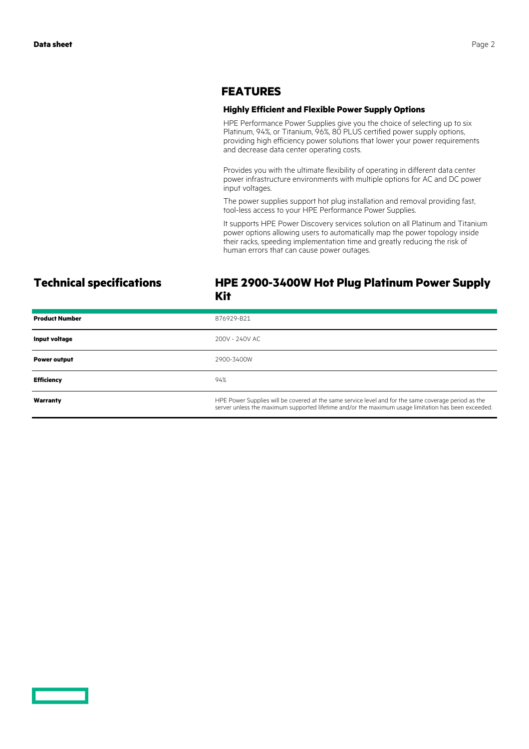### **FEATURES**

### **Highly Efficient and Flexible Power Supply Options**

HPE Performance Power Supplies give you the choice of selecting up to six Platinum, 94%, or Titanium, 96%, 80 PLUS certified power supply options, providing high efficiency power solutions that lower your power requirements and decrease data center operating costs.

Provides you with the ultimate flexibility of operating in different data center power infrastructure environments with multiple options for AC and DC power input voltages.

The power supplies support hot plug installation and removal providing fast, tool-less access to your HPE Performance Power Supplies.

It supports HPE Power Discovery services solution on all Platinum and Titanium power options allowing users to automatically map the power topology inside their racks, speeding implementation time and greatly reducing the risk of human errors that can cause power outages.

### **Technical specifications HPE 2900-3400W Hot Plug Platinum Power Supply Kit**

| <b>Product Number</b> | 876929-B21                                                                                                                                                                                                  |
|-----------------------|-------------------------------------------------------------------------------------------------------------------------------------------------------------------------------------------------------------|
| Input voltage         | 200V - 240V AC                                                                                                                                                                                              |
| <b>Power output</b>   | 2900-3400W                                                                                                                                                                                                  |
| <b>Efficiency</b>     | 94%                                                                                                                                                                                                         |
| Warranty              | HPE Power Supplies will be covered at the same service level and for the same coverage period as the<br>server unless the maximum supported lifetime and/or the maximum usage limitation has been exceeded. |